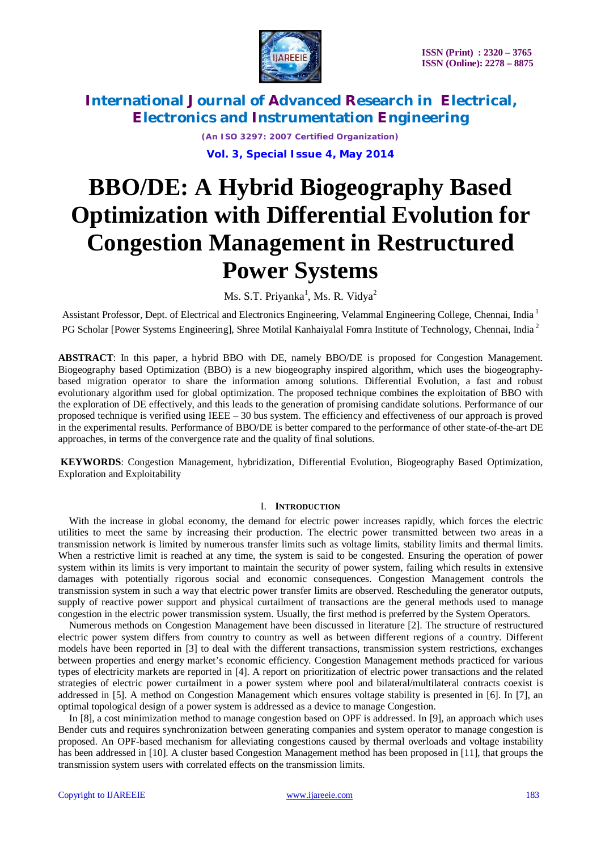

> *(An ISO 3297: 2007 Certified Organization)* **Vol. 3, Special Issue 4, May 2014**

# **BBO/DE: A Hybrid Biogeography Based Optimization with Differential Evolution for Congestion Management in Restructured Power Systems**

Ms. S.T. Priyanka<sup>1</sup>, Ms. R. Vidya<sup>2</sup>

Assistant Professor, Dept. of Electrical and Electronics Engineering, Velammal Engineering College, Chennai, India <sup>1</sup> PG Scholar [Power Systems Engineering], Shree Motilal Kanhaiyalal Fomra Institute of Technology, Chennai, India<sup>2</sup>

**ABSTRACT**: In this paper, a hybrid BBO with DE, namely BBO/DE is proposed for Congestion Management. Biogeography based Optimization (BBO) is a new biogeography inspired algorithm, which uses the biogeographybased migration operator to share the information among solutions. Differential Evolution, a fast and robust evolutionary algorithm used for global optimization. The proposed technique combines the exploitation of BBO with the exploration of DE effectively, and this leads to the generation of promising candidate solutions. Performance of our proposed technique is verified using IEEE – 30 bus system. The efficiency and effectiveness of our approach is proved in the experimental results. Performance of BBO/DE is better compared to the performance of other state-of-the-art DE approaches, in terms of the convergence rate and the quality of final solutions.

**KEYWORDS**: Congestion Management, hybridization, Differential Evolution, Biogeography Based Optimization, Exploration and Exploitability

### I. **INTRODUCTION**

With the increase in global economy, the demand for electric power increases rapidly, which forces the electric utilities to meet the same by increasing their production. The electric power transmitted between two areas in a transmission network is limited by numerous transfer limits such as voltage limits, stability limits and thermal limits. When a restrictive limit is reached at any time, the system is said to be congested. Ensuring the operation of power system within its limits is very important to maintain the security of power system, failing which results in extensive damages with potentially rigorous social and economic consequences. Congestion Management controls the transmission system in such a way that electric power transfer limits are observed. Rescheduling the generator outputs, supply of reactive power support and physical curtailment of transactions are the general methods used to manage congestion in the electric power transmission system. Usually, the first method is preferred by the System Operators.

Numerous methods on Congestion Management have been discussed in literature [2]. The structure of restructured electric power system differs from country to country as well as between different regions of a country. Different models have been reported in [3] to deal with the different transactions, transmission system restrictions, exchanges between properties and energy market's economic efficiency. Congestion Management methods practiced for various types of electricity markets are reported in [4]. A report on prioritization of electric power transactions and the related strategies of electric power curtailment in a power system where pool and bilateral/multilateral contracts coexist is addressed in [5]. A method on Congestion Management which ensures voltage stability is presented in [6]. In [7], an optimal topological design of a power system is addressed as a device to manage Congestion.

In [8], a cost minimization method to manage congestion based on OPF is addressed. In [9], an approach which uses Bender cuts and requires synchronization between generating companies and system operator to manage congestion is proposed. An OPF-based mechanism for alleviating congestions caused by thermal overloads and voltage instability has been addressed in [10]. A cluster based Congestion Management method has been proposed in [11], that groups the transmission system users with correlated effects on the transmission limits.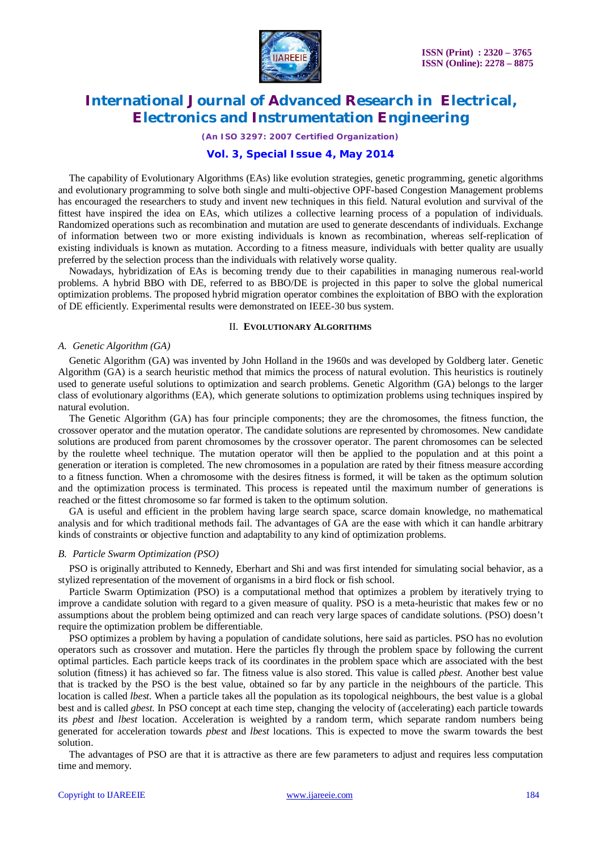

*(An ISO 3297: 2007 Certified Organization)*

### **Vol. 3, Special Issue 4, May 2014**

The capability of Evolutionary Algorithms (EAs) like evolution strategies, genetic programming, genetic algorithms and evolutionary programming to solve both single and multi-objective OPF-based Congestion Management problems has encouraged the researchers to study and invent new techniques in this field. Natural evolution and survival of the fittest have inspired the idea on EAs, which utilizes a collective learning process of a population of individuals. Randomized operations such as recombination and mutation are used to generate descendants of individuals. Exchange of information between two or more existing individuals is known as recombination, whereas self-replication of existing individuals is known as mutation. According to a fitness measure, individuals with better quality are usually preferred by the selection process than the individuals with relatively worse quality.

Nowadays, hybridization of EAs is becoming trendy due to their capabilities in managing numerous real-world problems. A hybrid BBO with DE, referred to as BBO/DE is projected in this paper to solve the global numerical optimization problems. The proposed hybrid migration operator combines the exploitation of BBO with the exploration of DE efficiently. Experimental results were demonstrated on IEEE-30 bus system.

#### II. **EVOLUTIONARY ALGORITHMS**

#### *A. Genetic Algorithm (GA)*

Genetic Algorithm (GA) was invented by John Holland in the 1960s and was developed by Goldberg later. Genetic Algorithm (GA) is a search heuristic method that mimics the process of natural evolution. This heuristics is routinely used to generate useful solutions to optimization and search problems. Genetic Algorithm (GA) belongs to the larger class of evolutionary algorithms (EA), which generate solutions to optimization problems using techniques inspired by natural evolution.

The Genetic Algorithm (GA) has four principle components; they are the chromosomes, the fitness function, the crossover operator and the mutation operator. The candidate solutions are represented by chromosomes. New candidate solutions are produced from parent chromosomes by the crossover operator. The parent chromosomes can be selected by the roulette wheel technique. The mutation operator will then be applied to the population and at this point a generation or iteration is completed. The new chromosomes in a population are rated by their fitness measure according to a fitness function. When a chromosome with the desires fitness is formed, it will be taken as the optimum solution and the optimization process is terminated. This process is repeated until the maximum number of generations is reached or the fittest chromosome so far formed is taken to the optimum solution.

GA is useful and efficient in the problem having large search space, scarce domain knowledge, no mathematical analysis and for which traditional methods fail. The advantages of GA are the ease with which it can handle arbitrary kinds of constraints or objective function and adaptability to any kind of optimization problems.

#### *B. Particle Swarm Optimization (PSO)*

PSO is originally attributed to Kennedy, Eberhart and Shi and was first intended for simulating social behavior, as a stylized representation of the movement of organisms in a bird flock or fish school.

Particle Swarm Optimization (PSO) is a computational method that optimizes a problem by iteratively trying to improve a candidate solution with regard to a given measure of quality. PSO is a meta-heuristic that makes few or no assumptions about the problem being optimized and can reach very large spaces of candidate solutions. (PSO) doesn't require the optimization problem be differentiable.

PSO optimizes a problem by having a population of candidate solutions, here said as particles. PSO has no evolution operators such as crossover and mutation. Here the particles fly through the problem space by following the current optimal particles. Each particle keeps track of its coordinates in the problem space which are associated with the best solution (fitness) it has achieved so far. The fitness value is also stored. This value is called *pbest.* Another best value that is tracked by the PSO is the best value, obtained so far by any particle in the neighbours of the particle. This location is called *lbest.* When a particle takes all the population as its topological neighbours, the best value is a global best and is called *gbest.* In PSO concept at each time step, changing the velocity of (accelerating) each particle towards its *pbest* and *lbest* location. Acceleration is weighted by a random term, which separate random numbers being generated for acceleration towards *pbest* and *lbest* locations. This is expected to move the swarm towards the best solution.

The advantages of PSO are that it is attractive as there are few parameters to adjust and requires less computation time and memory.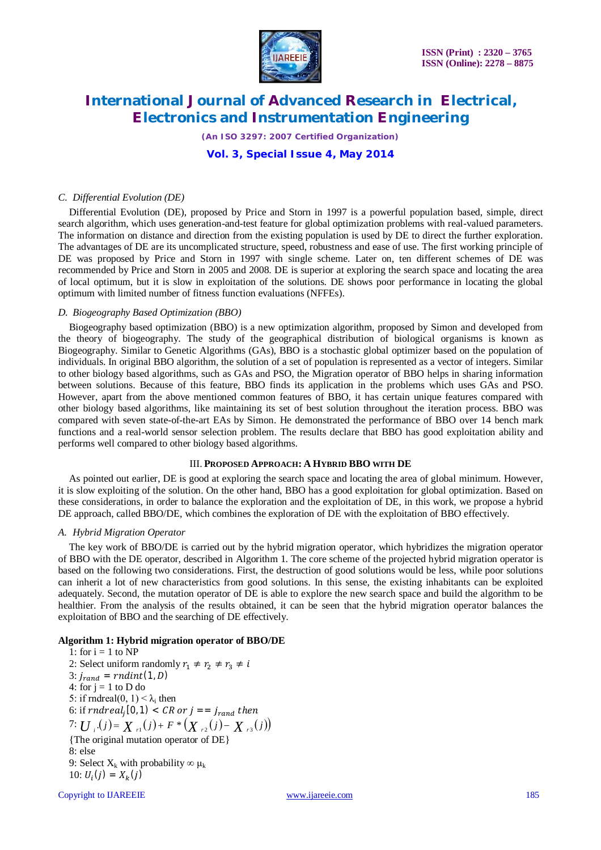

*(An ISO 3297: 2007 Certified Organization)*

### **Vol. 3, Special Issue 4, May 2014**

#### *C. Differential Evolution (DE)*

Differential Evolution (DE), proposed by Price and Storn in 1997 is a powerful population based, simple, direct search algorithm, which uses generation-and-test feature for global optimization problems with real-valued parameters. The information on distance and direction from the existing population is used by DE to direct the further exploration. The advantages of DE are its uncomplicated structure, speed, robustness and ease of use. The first working principle of DE was proposed by Price and Storn in 1997 with single scheme. Later on, ten different schemes of DE was recommended by Price and Storn in 2005 and 2008. DE is superior at exploring the search space and locating the area of local optimum, but it is slow in exploitation of the solutions. DE shows poor performance in locating the global optimum with limited number of fitness function evaluations (NFFEs).

#### *D. Biogeography Based Optimization (BBO)*

Biogeography based optimization (BBO) is a new optimization algorithm, proposed by Simon and developed from the theory of biogeography. The study of the geographical distribution of biological organisms is known as Biogeography. Similar to Genetic Algorithms (GAs), BBO is a stochastic global optimizer based on the population of individuals. In original BBO algorithm, the solution of a set of population is represented as a vector of integers. Similar to other biology based algorithms, such as GAs and PSO, the Migration operator of BBO helps in sharing information between solutions. Because of this feature, BBO finds its application in the problems which uses GAs and PSO. However, apart from the above mentioned common features of BBO, it has certain unique features compared with other biology based algorithms, like maintaining its set of best solution throughout the iteration process. BBO was compared with seven state-of-the-art EAs by Simon. He demonstrated the performance of BBO over 14 bench mark functions and a real-world sensor selection problem. The results declare that BBO has good exploitation ability and performs well compared to other biology based algorithms.

### III. **PROPOSED APPROACH: A HYBRID BBO WITH DE**

As pointed out earlier, DE is good at exploring the search space and locating the area of global minimum. However, it is slow exploiting of the solution. On the other hand, BBO has a good exploitation for global optimization. Based on these considerations, in order to balance the exploration and the exploitation of DE, in this work, we propose a hybrid DE approach, called BBO/DE, which combines the exploration of DE with the exploitation of BBO effectively.

#### *A. Hybrid Migration Operator*

The key work of BBO/DE is carried out by the hybrid migration operator, which hybridizes the migration operator of BBO with the DE operator, described in Algorithm 1. The core scheme of the projected hybrid migration operator is based on the following two considerations. First, the destruction of good solutions would be less, while poor solutions can inherit a lot of new characteristics from good solutions. In this sense, the existing inhabitants can be exploited adequately. Second, the mutation operator of DE is able to explore the new search space and build the algorithm to be healthier. From the analysis of the results obtained, it can be seen that the hybrid migration operator balances the exploitation of BBO and the searching of DE effectively.

### **Algorithm 1: Hybrid migration operator of BBO/DE**

1: for  $i = 1$  to NP 2: Select uniform randomly  $r_1 \neq r_2 \neq r_3 \neq i$ 3:  $j_{rand} = \text{rndint}(1, D)$ 4: for  $j = 1$  to D do 5: if rndreal $(0, 1) < \lambda_i$  then 6: if  $rndreal_j[0,1) < CR$  or  $j == j_{rand}$  then 7:  $U_i (j) = X_{i} (j) + F * (X_{i} (j) - X_{i} (j))$ {The original mutation operator of DE} 8: else 9: Select  $X_k$  with probability  $\infty$   $\mu_k$ 10:  $U_i(j) = X_k(j)$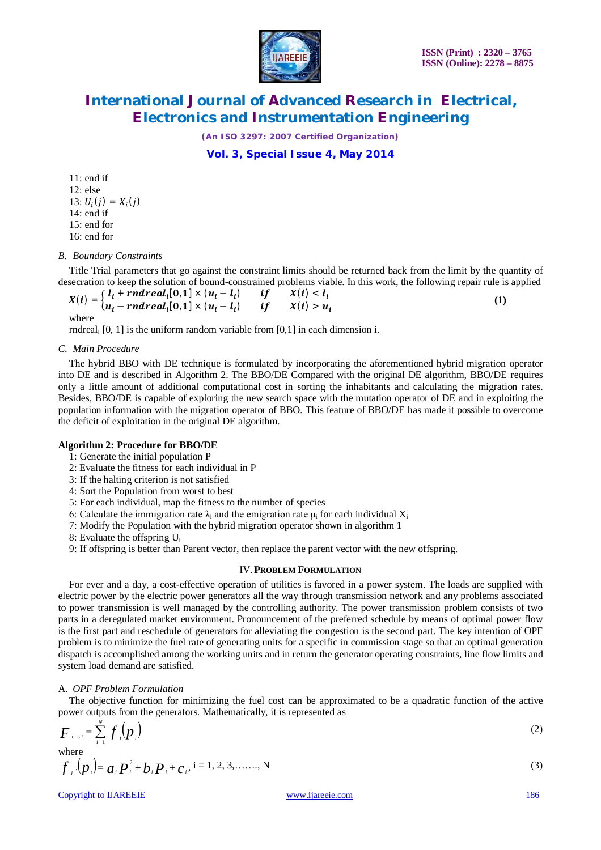

*(An ISO 3297: 2007 Certified Organization)*

# **Vol. 3, Special Issue 4, May 2014**

11: end if 12: else 13:  $U_i(j) = X_i(j)$ 14: end if 15: end for 16: end for

### *B. Boundary Constraints*

Title Trial parameters that go against the constraint limits should be returned back from the limit by the quantity of desecration to keep the solution of bound-constrained problems viable. In this work, the following repair rule is applied

 $X(i) = \begin{cases} l_i + \text{rndreal}_i[0,1] \times (u_i - l_i) & \text{if } X(i) < l_i \ l_i, \text{if } X(i) > m_i \end{cases}$  $u_i$  –  $rndreal_i[0,1] \times (u_i - l_i)$  if  $X(i) > u_i$  **(1)** where

rndreal<sup>i</sup> [0, 1] is the uniform random variable from [0,1] in each dimension i.

### *C. Main Procedure*

The hybrid BBO with DE technique is formulated by incorporating the aforementioned hybrid migration operator into DE and is described in Algorithm 2. The BBO/DE Compared with the original DE algorithm, BBO/DE requires only a little amount of additional computational cost in sorting the inhabitants and calculating the migration rates. Besides, BBO/DE is capable of exploring the new search space with the mutation operator of DE and in exploiting the population information with the migration operator of BBO. This feature of BBO/DE has made it possible to overcome the deficit of exploitation in the original DE algorithm.

### **Algorithm 2: Procedure for BBO/DE**

1: Generate the initial population P

- 2: Evaluate the fitness for each individual in P
- 3: If the halting criterion is not satisfied
- 4: Sort the Population from worst to best
- 5: For each individual, map the fitness to the number of species
- 6: Calculate the immigration rate  $\lambda_i$  and the emigration rate  $\mu_i$  for each individual  $X_i$
- 7: Modify the Population with the hybrid migration operator shown in algorithm 1
- 8: Evaluate the offspring U<sup>i</sup>
- 9: If offspring is better than Parent vector, then replace the parent vector with the new offspring.

### IV.**PROBLEM FORMULATION**

For ever and a day, a cost-effective operation of utilities is favored in a power system. The loads are supplied with electric power by the electric power generators all the way through transmission network and any problems associated to power transmission is well managed by the controlling authority. The power transmission problem consists of two parts in a deregulated market environment. Pronouncement of the preferred schedule by means of optimal power flow is the first part and reschedule of generators for alleviating the congestion is the second part. The key intention of OPF problem is to minimize the fuel rate of generating units for a specific in commission stage so that an optimal generation dispatch is accomplished among the working units and in return the generator operating constraints, line flow limits and system load demand are satisfied.

### A. *OPF Problem Formulation*

The objective function for minimizing the fuel cost can be approximated to be a quadratic function of the active power outputs from the generators. Mathematically, it is represented as

$$
F_{\cos i} = \sum_{i=1}^{N} f_i \left( p_i \right) \tag{2}
$$

where  

$$
f_i \cdot (p_i) = a_i P_i^2 + b_i P_i + c_i
$$
,  $i = 1, 2, 3, \dots, N$  (3)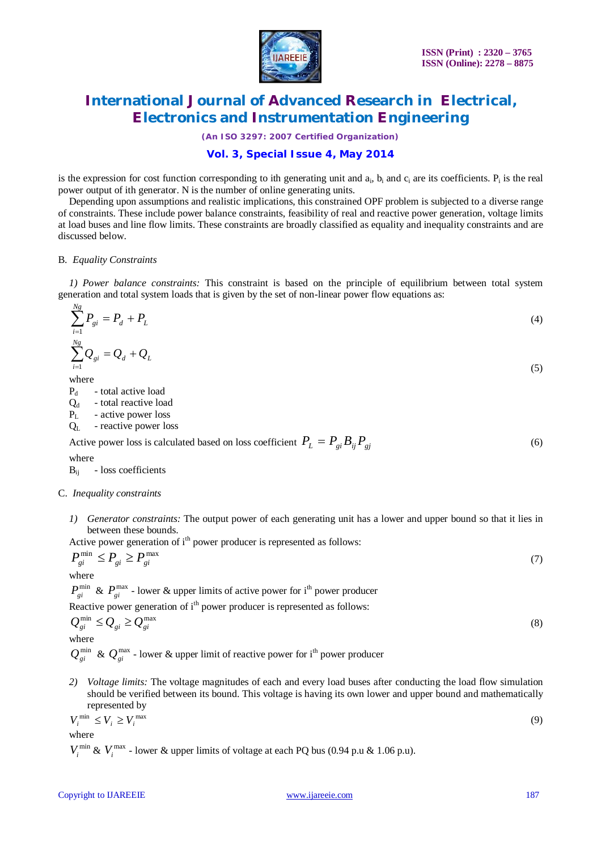

*(An ISO 3297: 2007 Certified Organization)*

# **Vol. 3, Special Issue 4, May 2014**

is the expression for cost function corresponding to ith generating unit and  $a_i$ ,  $b_i$  and  $c_i$  are its coefficients.  $P_i$  is the real power output of ith generator. N is the number of online generating units.

Depending upon assumptions and realistic implications, this constrained OPF problem is subjected to a diverse range of constraints. These include power balance constraints, feasibility of real and reactive power generation, voltage limits at load buses and line flow limits. These constraints are broadly classified as equality and inequality constraints and are discussed below.

#### B. *Equality Constraints*

*1) Power balance constraints:* This constraint is based on the principle of equilibrium between total system generation and total system loads that is given by the set of non-linear power flow equations as:

$$
\sum_{i=1}^{N_g} P_{gi} = P_d + P_L
$$
\n(4)  
\n
$$
\sum_{i=1}^{N_g} Q_{gi} = Q_d + Q_L
$$
\n(5)

where

 $P_d$  - total active load

 $Q_d$  - total reactive load

 $P_L$  - active power loss

 $Q_L$  - reactive power loss

Active power loss is calculated based on loss coefficient  $P_L = P_{\rho i} B_{ii} P_{\rho j}$  (6)

where

Bij - loss coefficients

### C. *Inequality constraints*

*1) Generator constraints:* The output power of each generating unit has a lower and upper bound so that it lies in between these bounds.

Active power generation of  $i<sup>th</sup>$  power producer is represented as follows:

$$
P_{gi}^{\min} \le P_{gi} \ge P_{gi}^{\max} \tag{7}
$$

where

 $P_{gi}^{\min}$  &  $P_{gi}^{\max}$  - lower & upper limits of active power for i<sup>th</sup> power producer

Reactive power generation of i<sup>th</sup> power producer is represented as follows:

$$
Q_{gi}^{\min} \le Q_{gi} \ge Q_{gi}^{\max}
$$
\nwhere

\n
$$
Q_{gi}^{\min} \le Q_{gi}^{\max} \tag{8}
$$

 $Q_{\sigma i}^{\min}$  &  $Q_{\sigma i}^{\max}$  - lower & upper limit of reactive power for i<sup>th</sup> power producer

*2) Voltage limits:* The voltage magnitudes of each and every load buses after conducting the load flow simulation should be verified between its bound. This voltage is having its own lower and upper bound and mathematically represented by

$$
V_i^{\min} \le V_i \ge V_i^{\max} \tag{9}
$$

where

 $V_i^{\min}$  &  $V_i^{\max}$  - lower & upper limits of voltage at each PQ bus (0.94 p.u & 1.06 p.u).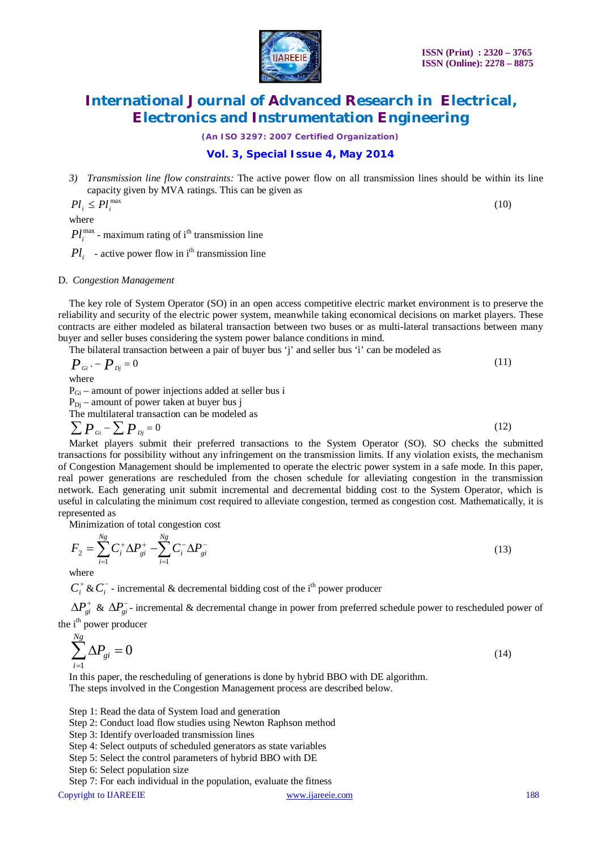

(10)

# **International Journal of Advanced Research in Electrical, Electronics and Instrumentation Engineering**

*(An ISO 3297: 2007 Certified Organization)*

### **Vol. 3, Special Issue 4, May 2014**

*3) Transmission line flow constraints:* The active power flow on all transmission lines should be within its line capacity given by MVA ratings. This can be given as

 $Pl_i \leq Pl_i^{\max}$ 

where

 $Pl_i^{\max}$  - maximum rating of i<sup>th</sup> transmission line

 $Pl_i$  - active power flow in i<sup>th</sup> transmission line

#### D. *Congestion Management*

The key role of System Operator (SO) in an open access competitive electric market environment is to preserve the reliability and security of the electric power system, meanwhile taking economical decisions on market players. These contracts are either modeled as bilateral transaction between two buses or as multi-lateral transactions between many buyer and seller buses considering the system power balance conditions in mind.

The bilateral transaction between a pair of buyer bus 'j' and seller bus 'i' can be modeled as  
\n
$$
P_{Gi} - P_{Dj} = 0
$$
\nwhere  
\n
$$
P_{Gi} - \text{amount of power injections added at seller bus i}
$$
\n(11)

 $P_{Di}$  – amount of power taken at buyer bus j

The multilateral transaction can be modeled as

$$
\sum P_{\alpha i} - \sum P_{\alpha j} = 0 \tag{12}
$$

Market players submit their preferred transactions to the System Operator (SO). SO checks the submitted transactions for possibility without any infringement on the transmission limits. If any violation exists, the mechanism of Congestion Management should be implemented to operate the electric power system in a safe mode. In this paper, real power generations are rescheduled from the chosen schedule for alleviating congestion in the transmission network. Each generating unit submit incremental and decremental bidding cost to the System Operator, which is useful in calculating the minimum cost required to alleviate congestion, termed as congestion cost. Mathematically, it is represented as

Minimization of total congestion cost

$$
F_2 = \sum_{i=1}^{N_S} C_i^{\dagger} \Delta P_{gi}^{\dagger} - \sum_{i=1}^{N_S} C_i^{-} \Delta P_{gi}^{-} \tag{13}
$$

where

 $C_i^+ \& C_i^-$  - incremental  $\&$  decremental bidding cost of the i<sup>th</sup> power producer

 $\Delta P_{gi}^+$  &  $\Delta P_{gi}^-$ -incremental & decremental change in power from preferred schedule power to rescheduled power of the i<sup>th</sup> power producer

$$
\sum_{i=1}^{Ng} \Delta P_{gi} = 0 \tag{14}
$$

In this paper, the rescheduling of generations is done by hybrid BBO with DE algorithm. The steps involved in the Congestion Management process are described below.

Step 1: Read the data of System load and generation

- Step 2: Conduct load flow studies using Newton Raphson method
- Step 3: Identify overloaded transmission lines
- Step 4: Select outputs of scheduled generators as state variables
- Step 5: Select the control parameters of hybrid BBO with DE
- Step 6: Select population size

Step 7: For each individual in the population, evaluate the fitness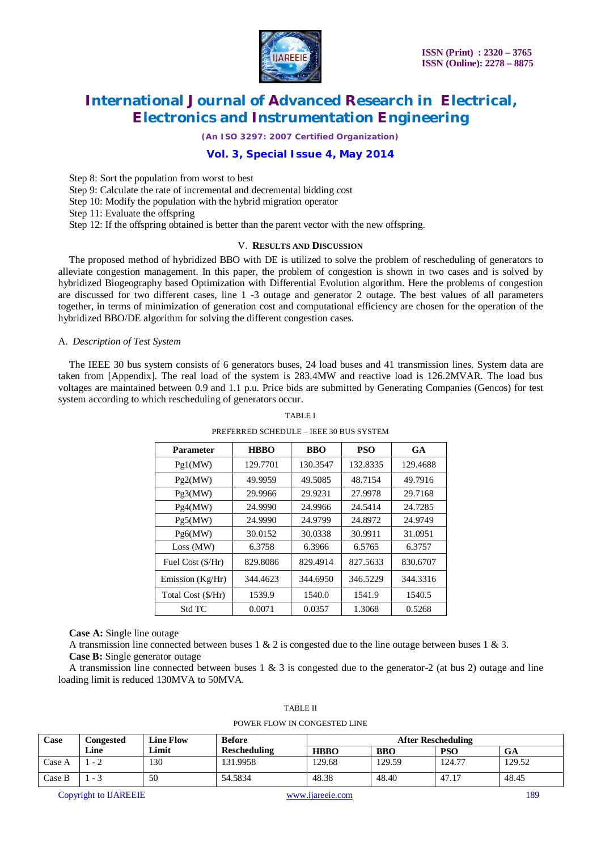

*(An ISO 3297: 2007 Certified Organization)*

# **Vol. 3, Special Issue 4, May 2014**

Step 8: Sort the population from worst to best

Step 9: Calculate the rate of incremental and decremental bidding cost

Step 10: Modify the population with the hybrid migration operator

Step 11: Evaluate the offspring

Step 12: If the offspring obtained is better than the parent vector with the new offspring.

#### V. **RESULTS AND DISCUSSION**

The proposed method of hybridized BBO with DE is utilized to solve the problem of rescheduling of generators to alleviate congestion management. In this paper, the problem of congestion is shown in two cases and is solved by hybridized Biogeography based Optimization with Differential Evolution algorithm. Here the problems of congestion are discussed for two different cases, line 1 -3 outage and generator 2 outage. The best values of all parameters together, in terms of minimization of generation cost and computational efficiency are chosen for the operation of the hybridized BBO/DE algorithm for solving the different congestion cases.

#### A. *Description of Test System*

The IEEE 30 bus system consists of 6 generators buses, 24 load buses and 41 transmission lines. System data are taken from [Appendix]. The real load of the system is 283.4MW and reactive load is 126.2MVAR. The load bus voltages are maintained between 0.9 and 1.1 p.u. Price bids are submitted by Generating Companies (Gencos) for test system according to which rescheduling of generators occur.

| <b>Parameter</b>   | <b>HBBO</b> | <b>BBO</b>         | <b>PSO</b> | <b>GA</b> |
|--------------------|-------------|--------------------|------------|-----------|
| Pg1(MW)            | 129.7701    | 130.3547           | 132.8335   | 129.4688  |
| Pg2(MW)            | 49.9959     | 48.7154<br>49.5085 |            | 49.7916   |
| Pg3(MW)            | 29.9966     | 29.9231            | 27.9978    | 29.7168   |
| Pg4(MW)            | 24.9990     | 24.9966            | 24.5414    | 24.7285   |
| Pg5(MW)            | 24.9990     | 24.9799            | 24.8972    | 24.9749   |
| Pg6(MW)            | 30.0152     | 30.0338            | 30.9911    | 31.0951   |
| Loss (MW)          | 6.3758      | 6.3966             | 6.5765     | 6.3757    |
| Fuel Cost (\$/Hr)  | 829.8086    | 829.4914           | 827.5633   | 830.6707  |
| Emission $(Kg/Hr)$ | 344.4623    | 344.6950           | 346.5229   | 344.3316  |
| Total Cost (\$/Hr) | 1539.9      |                    | 1541.9     | 1540.5    |
| <b>Std TC</b>      | 0.0071      | 0.0357             | 1.3068     | 0.5268    |

### TABLE I PREFERRED SCHEDULE – IEEE 30 BUS SYSTEM

**Case A:** Single line outage

A transmission line connected between buses 1  $\&$  2 is congested due to the line outage between buses 1  $\&$  3. **Case B:** Single generator outage

A transmission line connected between buses  $1 \& 3$  is congested due to the generator-2 (at bus 2) outage and line loading limit is reduced 130MVA to 50MVA.

| Case   | Congested | <b>Line Flow</b> | <b>Before</b>       | <b>After Rescheduling</b> |            |            |        |
|--------|-----------|------------------|---------------------|---------------------------|------------|------------|--------|
|        | Line      | Limit            | <b>Rescheduling</b> | <b>HBBO</b>               | <b>BBO</b> | <b>PSO</b> | GA     |
| Case A |           | 130              | 131.9958            | 129.68                    | 129.59     | 124.77     | 129.52 |
| Case B | $ -$      | 50               | 54.5834             | 48.38                     | 48.40      | 47.17      | 48.45  |

# TABLE II

POWER FLOW IN CONGESTED LINE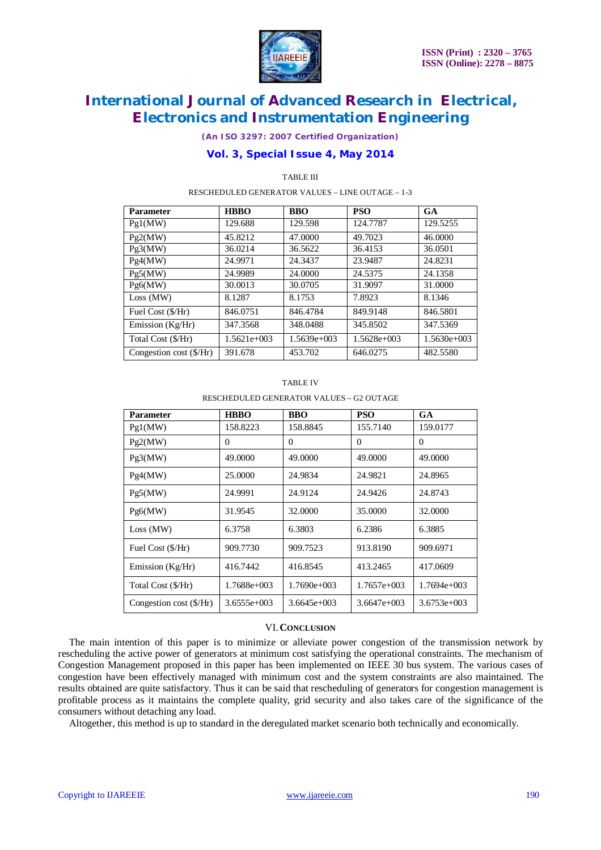

*(An ISO 3297: 2007 Certified Organization)*

# **Vol. 3, Special Issue 4, May 2014**

TABLE III

RESCHEDULED GENERATOR VALUES – LINE OUTAGE – 1-3

| <b>Parameter</b>                 | <b>HBBO</b>   | <b>BBO</b>    | <b>PSO</b>    | <b>GA</b>     |
|----------------------------------|---------------|---------------|---------------|---------------|
| Pg1(MW)                          | 129.688       | 129.598       | 124.7787      | 129.5255      |
| Pg2(MW)                          | 45.8212       | 47.0000       | 49.7023       | 46.0000       |
| Pg3(MW)                          | 36.0214       | 36.5622       | 36.4153       | 36.0501       |
| Pg4(MW)                          | 24.9971       | 24.3437       | 23.9487       | 24.8231       |
| Pg5(MW)                          | 24.9989       | 24,0000       | 24.5375       | 24.1358       |
| Pg6(MW)                          | 30.0013       | 30.0705       | 31.9097       | 31.0000       |
| Loss (MW)                        | 8.1287        | 8.1753        | 7.8923        | 8.1346        |
| Fuel Cost (\$/Hr)                | 846.0751      | 846.4784      | 849.9148      | 846.5801      |
| Emission (Kg/Hr)                 | 347.3568      | 348,0488      | 345.8502      | 347.5369      |
| Total Cost (\$/Hr)               | $1.5621e+003$ | $1.5639e+003$ | $1.5628e+003$ | $1.5630e+003$ |
| Congestion cost $(\frac{5}{Hr})$ | 391.678       | 453.702       | 646.0275      | 482.5580      |

#### TABLE IV

RESCHEDULED GENERATOR VALUES – G2 OUTAGE

| <b>Parameter</b>                 | <b>HBBO</b>   | <b>BBO</b>    | <b>PSO</b>    | GA            |
|----------------------------------|---------------|---------------|---------------|---------------|
| Pg1(MW)                          | 158.8223      | 158.8845      | 155.7140      | 159.0177      |
| Pg2(MW)                          | $\Omega$      | $\Omega$      | $\Omega$      | $\Omega$      |
| Pg3(MW)                          | 49,0000       | 49,0000       | 49,0000       | 49,0000       |
| Pg4(MW)                          | 25,0000       | 24.9834       | 24.9821       | 24.8965       |
| Pg5(MW)                          | 24.9991       | 24.9124       | 24.9426       | 24.8743       |
| Pg6(MW)                          | 31.9545       | 32.0000       | 35,0000       | 32.0000       |
| Loss (MW)                        | 6.3758        | 6.3803        | 6.2386        | 6.3885        |
| Fuel Cost (\$/Hr)                | 909.7730      | 909.7523      | 913.8190      | 909.6971      |
| Emission $(Kg/Hr)$               | 416.7442      | 416.8545      | 413.2465      | 417.0609      |
| Total Cost (\$/Hr)               | 1.7688e+003   | $1.7690e+003$ | $1.7657e+003$ | $1.7694e+003$ |
| Congestion cost $(\frac{S}{Hr})$ | $3.6555e+003$ | $3.6645e+003$ | $3.6647e+003$ | $3.6753e+003$ |

### VI.**CONCLUSION**

The main intention of this paper is to minimize or alleviate power congestion of the transmission network by rescheduling the active power of generators at minimum cost satisfying the operational constraints. The mechanism of Congestion Management proposed in this paper has been implemented on IEEE 30 bus system. The various cases of congestion have been effectively managed with minimum cost and the system constraints are also maintained. The results obtained are quite satisfactory. Thus it can be said that rescheduling of generators for congestion management is profitable process as it maintains the complete quality, grid security and also takes care of the significance of the consumers without detaching any load.

Altogether, this method is up to standard in the deregulated market scenario both technically and economically.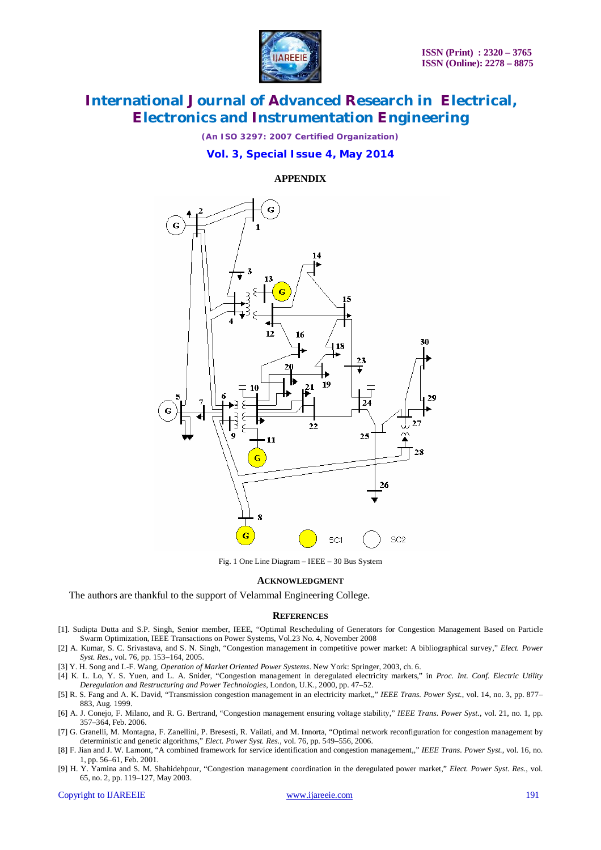

*(An ISO 3297: 2007 Certified Organization)*

### **Vol. 3, Special Issue 4, May 2014**

**APPENDIX**



Fig. 1 One Line Diagram – IEEE – 30 Bus System

#### **ACKNOWLEDGMENT**

The authors are thankful to the support of Velammal Engineering College.

#### **REFERENCES**

- [1]. Sudipta Dutta and S.P. Singh, Senior member, IEEE, "Optimal Rescheduling of Generators for Congestion Management Based on Particle Swarm Optimization, IEEE Transactions on Power Systems, Vol.23 No. 4, November 2008
- [2] A. Kumar, S. C. Srivastava, and S. N. Singh, "Congestion management in competitive power market: A bibliographical survey," *Elect. Power Syst. Res.*, vol. 76, pp. 153–164, 2005.
- [3] Y. H. Song and I.-F. Wang*, Operation of Market Oriented Power Systems*. New York: Springer, 2003, ch. 6.
- [4] K. L. Lo, Y. S. Yuen, and L. A. Snider, "Congestion management in deregulated electricity markets," in *Proc. Int. Conf. Electric Utility Deregulation and Restructuring and Power Technologies*, London, U.K., 2000, pp. 47–52.
- [5] R. S. Fang and A. K. David, "Transmission congestion management in an electricity market,," *IEEE Trans. Power Syst.*, vol. 14, no. 3, pp. 877– 883, Aug. 1999.
- [6] A. J. Conejo, F. Milano, and R. G. Bertrand, "Congestion management ensuring voltage stability," *IEEE Trans. Power Syst.*, vol. 21, no. 1, pp. 357–364, Feb. 2006.
- [7] G. Granelli, M. Montagna, F. Zanellini, P. Bresesti, R. Vailati, and M. Innorta, "Optimal network reconfiguration for congestion management by deterministic and genetic algorithms," *Elect. Power Syst. Res.*, vol. 76, pp. 549–556, 2006.
- [8] F. Jian and J. W. Lamont, "A combined framework for service identification and congestion management,," *IEEE Trans. Power Syst.*, vol. 16, no. 1, pp. 56–61, Feb. 2001.
- [9] H. Y. Yamina and S. M. Shahidehpour, "Congestion management coordination in the deregulated power market," *Elect. Power Syst. Res.*, vol. 65, no. 2, pp. 119–127, May 2003.